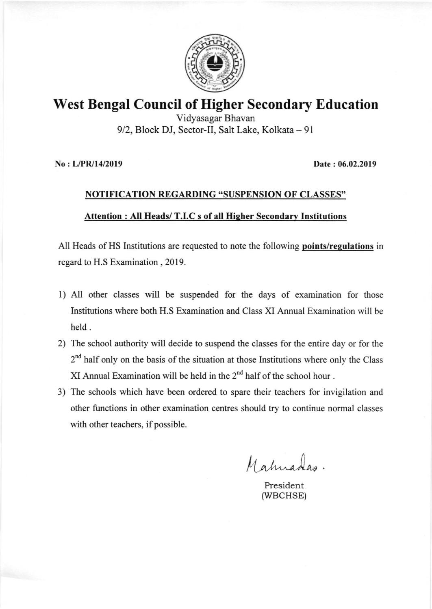

## West Bengal Council of Higher Secondary Education

Vidyasagar Bhavan 9/2, Block DJ, Sector-II, Salt Lake, Kolkata - 91

No : L/PR/14I2019 Date : 06.02.2019

# NOTIFICATION REGARDING "SUSPENSION OF CLASSES" Attention : All Heads/ T.I.C s of all Higher Secondary Institutions

All Heads of HS Institutions are requested to note the following **points/regulations** in regard to H.S Examination , 2019.

- <sup>I</sup>) All other classes will be suspended for the days of examination for those Institutions where both H.S Examination and Class XI Annual Examination will be held.
- 2) The school authority will decide to suspend the classes for the entire day or for the  $2<sup>nd</sup>$  half only on the basis of the situation at those Institutions where only the Class XI Annual Examination will be held in the  $2<sup>nd</sup>$  half of the school hour.
- 3) The schools which have been ordered to spare their teachers for invigilation and other functions in other examination centres should try to continue normal classes with other teachers, if possible.

Mahuadas.

President (wBCHSE)